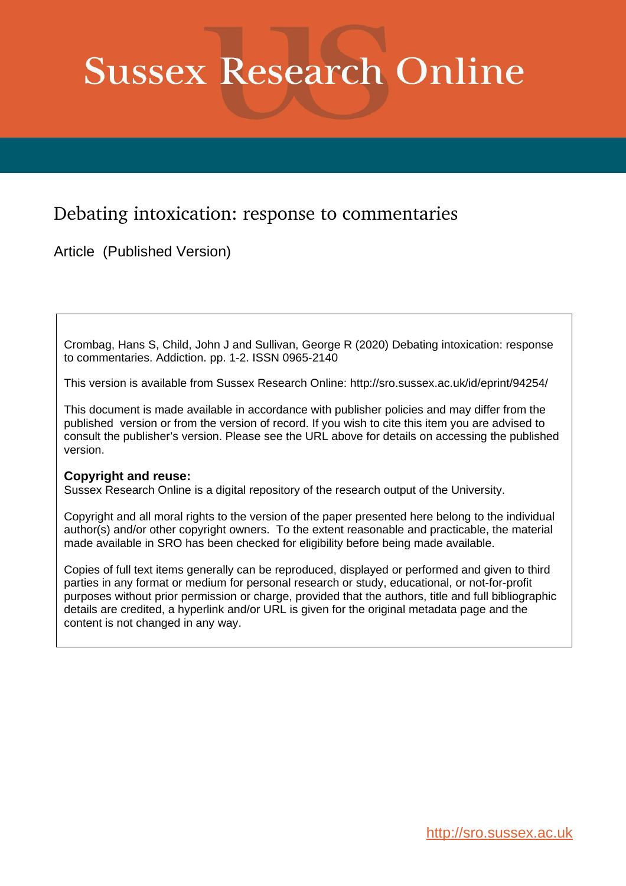# **Sussex Research Online**

## Debating intoxication: response to commentaries

Article (Published Version)

Crombag, Hans S, Child, John J and Sullivan, George R (2020) Debating intoxication: response to commentaries. Addiction. pp. 1-2. ISSN 0965-2140

This version is available from Sussex Research Online: http://sro.sussex.ac.uk/id/eprint/94254/

This document is made available in accordance with publisher policies and may differ from the published version or from the version of record. If you wish to cite this item you are advised to consult the publisher's version. Please see the URL above for details on accessing the published version.

### **Copyright and reuse:**

Sussex Research Online is a digital repository of the research output of the University.

Copyright and all moral rights to the version of the paper presented here belong to the individual author(s) and/or other copyright owners. To the extent reasonable and practicable, the material made available in SRO has been checked for eligibility before being made available.

Copies of full text items generally can be reproduced, displayed or performed and given to third parties in any format or medium for personal research or study, educational, or not-for-profit purposes without prior permission or charge, provided that the authors, title and full bibliographic details are credited, a hyperlink and/or URL is given for the original metadata page and the content is not changed in any way.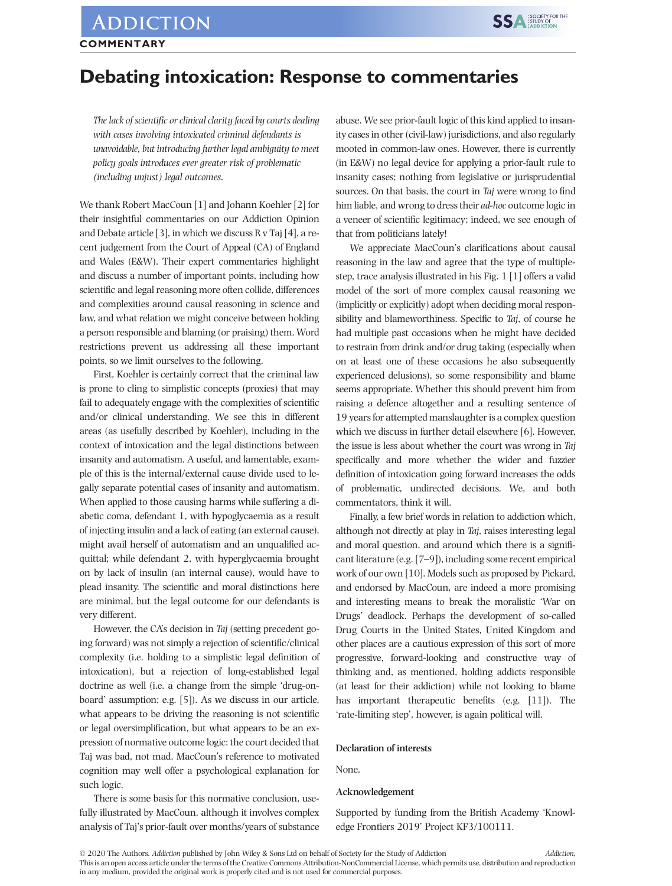## **ADDICTION COMMENTARY**

## **Debating intoxication: Response to commentaries**

*The lack of scientific or clinical clarity faced by courts dealing with cases involving intoxicated criminal defendants is unavoidable, but introducing further legal ambiguity to meet policy goals introduces ever greater risk of problematic (including unjust) legal outcomes*.

We thank Robert MacCoun [1] and Johann Koehler [2] for their insightful commentaries on our Addiction Opinion and Debate article [3], in which we discuss  $R v$  Taj [4], a recent judgement from the Court of Appeal (CA) of England and Wales (E&W). Their expert commentaries highlight and discuss a number of important points, including how scientific and legal reasoning more often collide, differences and complexities around causal reasoning in science and law, and what relation we might conceive between holding a person responsible and blaming (or praising) them. Word restrictions prevent us addressing all these important points, so we limit ourselves to the following.

First, Koehler is certainly correct that the criminal law is prone to cling to simplistic concepts (proxies) that may fail to adequately engage with the complexities of scientific and/or clinical understanding. We see this in different areas (as usefully described by Koehler), including in the context of intoxication and the legal distinctions between insanity and automatism. A useful, and lamentable, example of this is the internal/external cause divide used to legally separate potential cases of insanity and automatism. When applied to those causing harms while suffering a diabetic coma, defendant 1, with hypoglycaemia as a result of injecting insulin and a lack of eating (an external cause), might avail herself of automatism and an unqualified acquittal; while defendant 2, with hyperglycaemia brought on by lack of insulin (an internal cause), would have to plead insanity. The scientific and moral distinctions here are minimal, but the legal outcome for our defendants is very different.

However, the CA's decision in *Taj* (setting precedent going forward) was not simply a rejection of scientific/clinical complexity (i.e. holding to a simplistic legal definition of intoxication), but a rejection of long‐established legal doctrine as well (i.e. a change from the simple 'drug-onboard' assumption; e.g. [5]). As we discuss in our article, what appears to be driving the reasoning is not scientific or legal oversimplification, but what appears to be an expression of normative outcome logic: the court decided that Taj was bad, not mad. MacCoun's reference to motivated cognition may well offer a psychological explanation for such logic.

There is some basis for this normative conclusion, usefully illustrated by MacCoun, although it involves complex analysis of Taj's prior‐fault over months/years of substance

abuse. We see prior‐fault logic of this kind applied to insanity cases in other (civil‐law) jurisdictions, and also regularly mooted in common‐law ones. However, there is currently (in E&W) no legal device for applying a prior‐fault rule to insanity cases; nothing from legislative or jurisprudential sources. On that basis, the court in *Taj* were wrong to find him liable, and wrong to dress their *ad‐hoc* outcome logic in a veneer of scientific legitimacy; indeed, we see enough of that from politicians lately!

We appreciate MacCoun's clarifications about causal reasoning in the law and agree that the type of multiple‐ step, trace analysis illustrated in his Fig. 1 [1] offers a valid model of the sort of more complex causal reasoning we (implicitly or explicitly) adopt when deciding moral responsibility and blameworthiness. Specific to *Taj*, of course he had multiple past occasions when he might have decided to restrain from drink and/or drug taking (especially when on at least one of these occasions he also subsequently experienced delusions), so some responsibility and blame seems appropriate. Whether this should prevent him from raising a defence altogether and a resulting sentence of 19 years for attempted manslaughter is a complex question which we discuss in further detail elsewhere [6]. However, the issue is less about whether the court was wrong in *Taj* specifically and more whether the wider and fuzzier definition of intoxication going forward increases the odds of problematic, undirected decisions. We, and both commentators, think it will.

Finally, a few brief words in relation to addiction which, although not directly at play in *Taj*, raises interesting legal and moral question, and around which there is a significant literature (e.g. [7–9]), including some recent empirical work of our own [10]. Models such as proposed by Pickard, and endorsed by MacCoun, are indeed a more promising and interesting means to break the moralistic 'War on Drugs' deadlock. Perhaps the development of so-called Drug Courts in the United States, United Kingdom and other places are a cautious expression of this sort of more progressive, forward‐looking and constructive way of thinking and, as mentioned, holding addicts responsible (at least for their addiction) while not looking to blame has important therapeutic benefits (e.g. [11]). The 'rate‐limiting step', however, is again political will.

#### **Declaration of interests**

None.

#### **Acknowledgement**

Supported by funding from the British Academy 'Knowledge Frontiers 2019' Project KF3/100111.